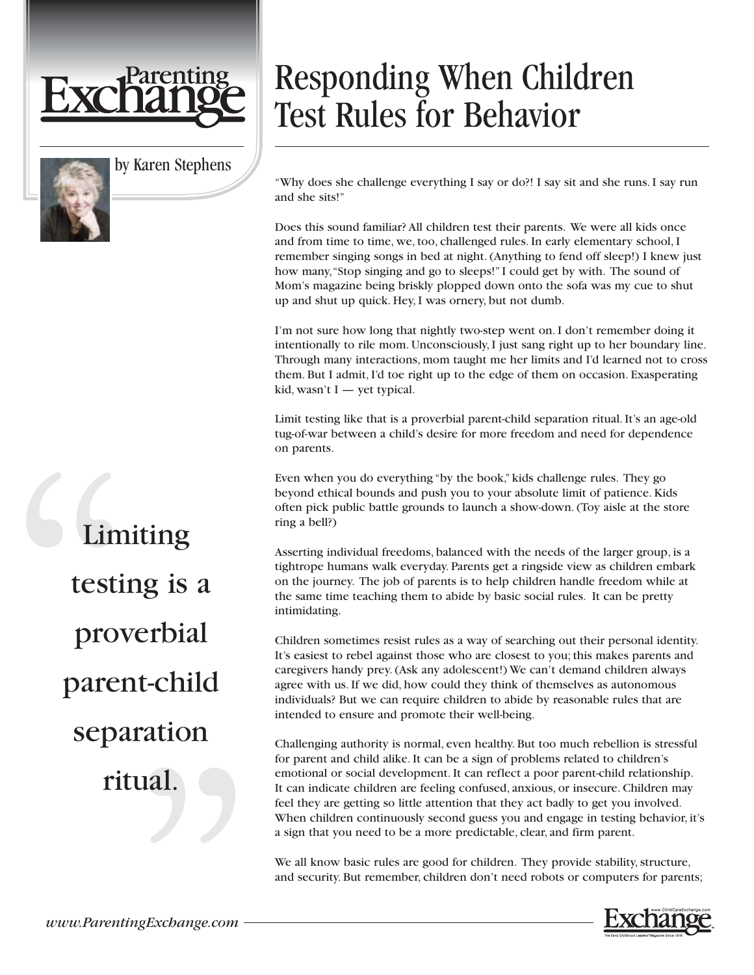

by Karen Stephens

## Responding When Children Test Rules for Behavior

"Why does she challenge everything I say or do?! I say sit and she runs. I say run and she sits!"

Does this sound familiar? All children test their parents. We were all kids once and from time to time, we, too, challenged rules. In early elementary school, I remember singing songs in bed at night. (Anything to fend off sleep!) I knew just how many,"Stop singing and go to sleeps!" I could get by with. The sound of Mom's magazine being briskly plopped down onto the sofa was my cue to shut up and shut up quick. Hey, I was ornery, but not dumb.

I'm not sure how long that nightly two-step went on. I don't remember doing it intentionally to rile mom. Unconsciously, I just sang right up to her boundary line. Through many interactions, mom taught me her limits and I'd learned not to cross them. But I admit, I'd toe right up to the edge of them on occasion. Exasperating kid, wasn't I — yet typical.

Limit testing like that is a proverbial parent-child separation ritual. It's an age-old tug-of-war between a child's desire for more freedom and need for dependence on parents.

Even when you do everything "by the book," kids challenge rules. They go beyond ethical bounds and push you to your absolute limit of patience. Kids often pick public battle grounds to launch a show-down. (Toy aisle at the store ring a bell?)

Asserting individual freedoms, balanced with the needs of the larger group, is a tightrope humans walk everyday. Parents get a ringside view as children embark on the journey. The job of parents is to help children handle freedom while at the same time teaching them to abide by basic social rules. It can be pretty intimidating.

Children sometimes resist rules as a way of searching out their personal identity. It's easiest to rebel against those who are closest to you; this makes parents and caregivers handy prey. (Ask any adolescent!) We can't demand children always agree with us. If we did, how could they think of themselves as autonomous individuals? But we can require children to abide by reasonable rules that are intended to ensure and promote their well-being.

Challenging authority is normal, even healthy. But too much rebellion is stressful for parent and child alike. It can be a sign of problems related to children's emotional or social development. It can reflect a poor parent-child relationship. It can indicate children are feeling confused, anxious, or insecure. Children may feel they are getting so little attention that they act badly to get you involved. When children continuously second guess you and engage in testing behavior, it's a sign that you need to be a more predictable, clear, and firm parent.

We all know basic rules are good for children. They provide stability, structure, and security. But remember, children don't need robots or computers for parents;



Limiting testing is a proverbial parent-child separation ritual.